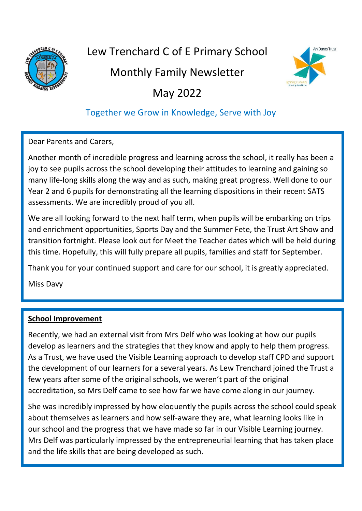

# Lew Trenchard C of E Primary School

## Monthly Family Newsletter



May 2022

### Together we Grow in Knowledge, Serve with Joy

Dear Parents and Carers,

Another month of incredible progress and learning across the school, it really has been a joy to see pupils across the school developing their attitudes to learning and gaining so many life-long skills along the way and as such, making great progress. Well done to our Year 2 and 6 pupils for demonstrating all the learning dispositions in their recent SATS assessments. We are incredibly proud of you all.

We are all looking forward to the next half term, when pupils will be embarking on trips and enrichment opportunities, Sports Day and the Summer Fete, the Trust Art Show and transition fortnight. Please look out for Meet the Teacher dates which will be held during this time. Hopefully, this will fully prepare all pupils, families and staff for September.

Thank you for your continued support and care for our school, it is greatly appreciated.

Miss Davy

### **School Improvement**

Recently, we had an external visit from Mrs Delf who was looking at how our pupils develop as learners and the strategies that they know and apply to help them progress. As a Trust, we have used the Visible Learning approach to develop staff CPD and support the development of our learners for a several years. As Lew Trenchard joined the Trust a few years after some of the original schools, we weren't part of the original accreditation, so Mrs Delf came to see how far we have come along in our journey.

She was incredibly impressed by how eloquently the pupils across the school could speak about themselves as learners and how self-aware they are, what learning looks like in our school and the progress that we have made so far in our Visible Learning journey. Mrs Delf was particularly impressed by the entrepreneurial learning that has taken place and the life skills that are being developed as such.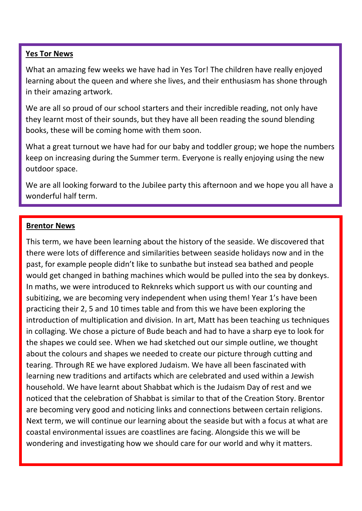#### **Yes Tor News**

What an amazing few weeks we have had in Yes Tor! The children have really enjoyed learning about the queen and where she lives, and their enthusiasm has shone through in their amazing artwork.

We are all so proud of our school starters and their incredible reading, not only have they learnt most of their sounds, but they have all been reading the sound blending books, these will be coming home with them soon.

What a great turnout we have had for our baby and toddler group; we hope the numbers keep on increasing during the Summer term. Everyone is really enjoying using the new outdoor space.

We are all looking forward to the Jubilee party this afternoon and we hope you all have a wonderful half term.

#### **Brentor News**

This term, we have been learning about the history of the seaside. We discovered that there were lots of difference and similarities between seaside holidays now and in the past, for example people didn't like to sunbathe but instead sea bathed and people would get changed in bathing machines which would be pulled into the sea by donkeys. In maths, we were introduced to Reknreks which support us with our counting and subitizing, we are becoming very independent when using them! Year 1's have been practicing their 2, 5 and 10 times table and from this we have been exploring the introduction of multiplication and division. In art, Matt has been teaching us techniques in collaging. We chose a picture of Bude beach and had to have a sharp eye to look for the shapes we could see. When we had sketched out our simple outline, we thought about the colours and shapes we needed to create our picture through cutting and tearing. Through RE we have explored Judaism. We have all been fascinated with learning new traditions and artifacts which are celebrated and used within a Jewish household. We have learnt about Shabbat which is the Judaism Day of rest and we noticed that the celebration of Shabbat is similar to that of the Creation Story. Brentor are becoming very good and noticing links and connections between certain religions. Next term, we will continue our learning about the seaside but with a focus at what are coastal environmental issues are coastlines are facing. Alongside this we will be wondering and investigating how we should care for our world and why it matters.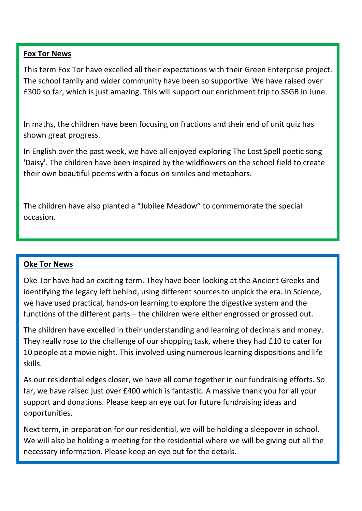#### **Fox Tor News**

This term Fox Tor have excelled all their expectations with their Green Enterprise project. The school family and wider community have been so supportive. We have raised over £300 so far, which is just amazing. This will support our enrichment trip to SSGB in June.

In maths, the children have been focusing on fractions and their end of unit quiz has shown great progress.

In English over the past week, we have all enjoyed exploring The Lost Spell poetic song 'Daisy'. The children have been inspired by the wildflowers on the school field to create their own beautiful poems with a focus on similes and metaphors.

The children have also planted a "Jubilee Meadow" to commemorate the special occasion.

#### **Oke Tor News**

Oke Tor have had an exciting term. They have been looking at the Ancient Greeks and identifying the legacy left behind, using different sources to unpick the era. In Science, we have used practical, hands-on learning to explore the digestive system and the functions of the different parts – the children were either engrossed or grossed out.

The children have excelled in their understanding and learning of decimals and money. They really rose to the challenge of our shopping task, where they had £10 to cater for 10 people at a movie night. This involved using numerous learning dispositions and life skills.

As our residential edges closer, we have all come together in our fundraising efforts. So far, we have raised just over £400 which is fantastic. A massive thank you for all your support and donations. Please keep an eye out for future fundraising ideas and opportunities.

Next term, in preparation for our residential, we will be holding a sleepover in school. We will also be holding a meeting for the residential where we will be giving out all the necessary information. Please keep an eye out for the details.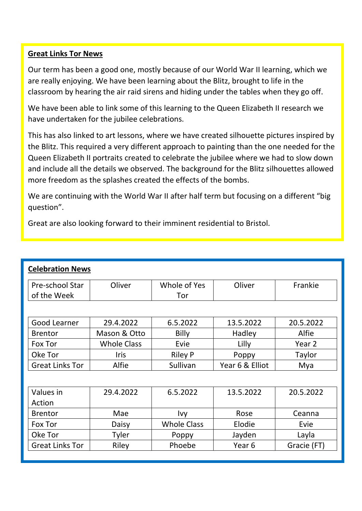#### **Great Links Tor News**

Our term has been a good one, mostly because of our World War II learning, which we are really enjoying. We have been learning about the Blitz, brought to life in the classroom by hearing the air raid sirens and hiding under the tables when they go off.

We have been able to link some of this learning to the Queen Elizabeth II research we have undertaken for the jubilee celebrations.

This has also linked to art lessons, where we have created silhouette pictures inspired by the Blitz. This required a very different approach to painting than the one needed for the Queen Elizabeth II portraits created to celebrate the jubilee where we had to slow down and include all the details we observed. The background for the Blitz silhouettes allowed more freedom as the splashes created the effects of the bombs.

We are continuing with the World War II after half term but focusing on a different "big question".

Great are also looking forward to their imminent residential to Bristol.

| <b>Celebration News</b> |                    |                    |                   |             |  |  |
|-------------------------|--------------------|--------------------|-------------------|-------------|--|--|
| Pre-school Star         | Oliver             | Whole of Yes       | Oliver            | Frankie     |  |  |
| of the Week             |                    | Tor                |                   |             |  |  |
|                         |                    |                    |                   |             |  |  |
| Good Learner            | 29.4.2022          | 6.5.2022           | 13.5.2022         | 20.5.2022   |  |  |
| <b>Brentor</b>          | Mason & Otto       | <b>Billy</b>       | Hadley            | Alfie       |  |  |
| Fox Tor                 | <b>Whole Class</b> | Evie               | Lilly             | Year 2      |  |  |
| Oke Tor                 | <b>Iris</b>        | <b>Riley P</b>     | Poppy             | Taylor      |  |  |
| <b>Great Links Tor</b>  | Alfie              | Sullivan           | Year 6 & Elliot   | Mya         |  |  |
|                         |                    |                    |                   |             |  |  |
| Values in               | 29.4.2022          | 6.5.2022           | 13.5.2022         | 20.5.2022   |  |  |
| Action                  |                    |                    |                   |             |  |  |
| <b>Brentor</b>          | Mae                | Ivy                | Rose              | Ceanna      |  |  |
| Fox Tor                 | Daisy              | <b>Whole Class</b> | Elodie            | Evie        |  |  |
| Oke Tor                 | Tyler              | Poppy              | Jayden            | Layla       |  |  |
| <b>Great Links Tor</b>  | Riley              | Phoebe             | Year <sub>6</sub> | Gracie (FT) |  |  |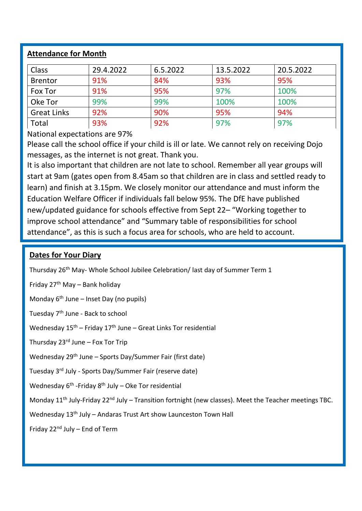#### **Attendance for Month**

| <b>Class</b>       | 29.4.2022 | 6.5.2022 | 13.5.2022 | 20.5.2022 |
|--------------------|-----------|----------|-----------|-----------|
| <b>Brentor</b>     | 91%       | 84%      | 93%       | 95%       |
| Fox Tor            | 91%       | 95%      | 97%       | 100%      |
| Oke Tor            | 99%       | 99%      | 100%      | 100%      |
| <b>Great Links</b> | 92%       | 90%      | 95%       | 94%       |
| Total              | 93%       | 92%      | 97%       | 97%       |

National expectations are 97%

Please call the school office if your child is ill or late. We cannot rely on receiving Dojo messages, as the internet is not great. Thank you.

It is also important that children are not late to school. Remember all year groups will start at 9am (gates open from 8.45am so that children are in class and settled ready to learn) and finish at 3.15pm. We closely monitor our attendance and must inform the Education Welfare Officer if individuals fall below 95%. The DfE have published new/updated guidance for schools effective from Sept 22– "Working together to improve school attendance" and "Summary table of responsibilities for school attendance", as this is such a focus area for schools, who are held to account.

#### **Dates for Your Diary**

Thursday 26th May- Whole School Jubilee Celebration/ last day of Summer Term 1

Friday  $27<sup>th</sup>$  May – Bank holiday

Monday  $6<sup>th</sup>$  June – Inset Day (no pupils)

Tuesday 7th June - Back to school

Wednesday  $15<sup>th</sup>$  – Friday  $17<sup>th</sup>$  June – Great Links Tor residential

Thursday  $23<sup>rd</sup>$  June – Fox Tor Trip

Wednesday 29th June – Sports Day/Summer Fair (first date)

Tuesday 3rd July - Sports Day/Summer Fair (reserve date)

Wednesday 6<sup>th</sup> -Friday 8<sup>th</sup> July – Oke Tor residential

Monday 11<sup>th</sup> July-Friday 22<sup>nd</sup> July – Transition fortnight (new classes). Meet the Teacher meetings TBC.

Wednesday 13<sup>th</sup> July – Andaras Trust Art show Launceston Town Hall

Friday 22nd July – End of Term